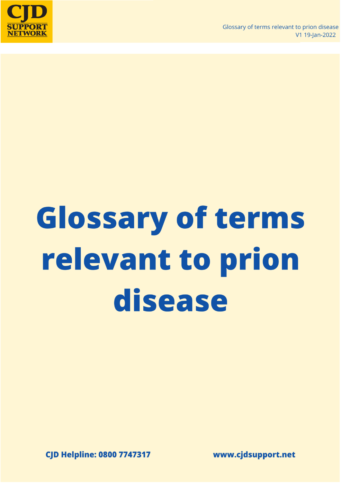

# **Glossary of terms** relevant to prion disease

**CJD Helpline: 0800 7747317** 

www.cjdsupport.net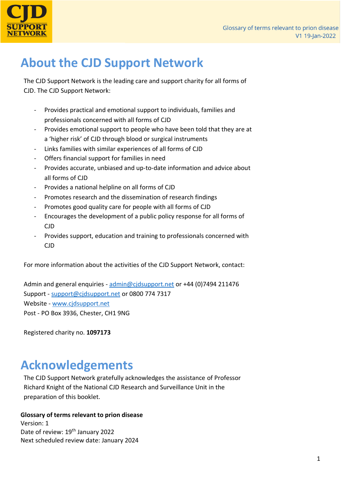

## **About the CJD Support Network**

The CJD Support Network is the leading care and support charity for all forms of CJD. The CJD Support Network:

- Provides practical and emotional support to individuals, families and professionals concerned with all forms of CJD
- Provides emotional support to people who have been told that they are at a 'higher risk' of CJD through blood or surgical instruments
- Links families with similar experiences of all forms of CJD
- Offers financial support for families in need
- Provides accurate, unbiased and up-to-date information and advice about all forms of CJD
- Provides a national helpline on all forms of CJD
- Promotes research and the dissemination of research findings
- Promotes good quality care for people with all forms of CJD
- Encourages the development of a public policy response for all forms of CJD
- Provides support, education and training to professionals concerned with CJD

For more information about the activities of the CJD Support Network, contact:

Admin and general enquiries - [admin@cjdsupport.net](mailto:admin@cjdsupport.net) or +44 (0)7494 211476 Support - [support@cjdsupport.net](mailto:support@cjdsupport.net) or 0800 774 7317 Website - [www.cjdsupport.net](http://www.cjdsupport.net/) Post - PO Box 3936, Chester, CH1 9NG

Registered charity no. **1097173**

## **Acknowledgements**

The CJD Support Network gratefully acknowledges the assistance of Professor Richard Knight of the National CJD Research and Surveillance Unit in the preparation of this booklet.

#### **Glossary of terms relevant to prion disease**

Version: 1 Date of review: 19<sup>th</sup> January 2022 Next scheduled review date: January 2024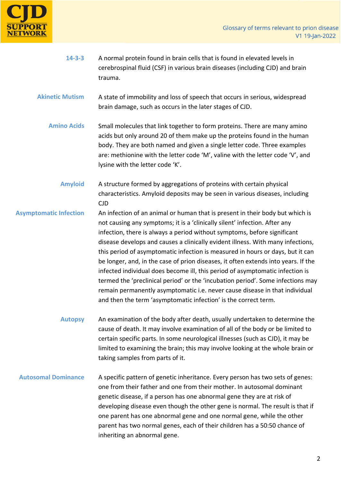

- **14-3-3** A normal protein found in brain cells that is found in elevated levels in cerebrospinal fluid (CSF) in various brain diseases (including CJD) and brain trauma.
- **Akinetic Mutism** A state of immobility and loss of speech that occurs in serious, widespread brain damage, such as occurs in the later stages of CJD.
	- **Amino Acids** Small molecules that link together to form proteins. There are many amino acids but only around 20 of them make up the proteins found in the human body. They are both named and given a single letter code. Three examples are: methionine with the letter code 'M', valine with the letter code 'V', and lysine with the letter code 'K'.
		- **Amyloid** A structure formed by aggregations of proteins with certain physical characteristics. Amyloid deposits may be seen in various diseases, including CJD
- **Asymptomatic Infection** An infection of an animal or human that is present in their body but which is not causing any symptoms; it is a 'clinically silent' infection. After any infection, there is always a period without symptoms, before significant disease develops and causes a clinically evident illness. With many infections, this period of asymptomatic infection is measured in hours or days, but it can be longer, and, in the case of prion diseases, it often extends into years. If the infected individual does become ill, this period of asymptomatic infection is termed the 'preclinical period' or the 'incubation period'. Some infections may remain permanently asymptomatic i.e. never cause disease in that individual and then the term 'asymptomatic infection' is the correct term.
	- **Autopsy** An examination of the body after death, usually undertaken to determine the cause of death. It may involve examination of all of the body or be limited to certain specific parts. In some neurological illnesses (such as CJD), it may be limited to examining the brain; this may involve looking at the whole brain or taking samples from parts of it.
	- **Autosomal Dominance** A specific pattern of genetic inheritance. Every person has two sets of genes: one from their father and one from their mother. In autosomal dominant genetic disease, if a person has one abnormal gene they are at risk of developing disease even though the other gene is normal. The result is that if one parent has one abnormal gene and one normal gene, while the other parent has two normal genes, each of their children has a 50:50 chance of inheriting an abnormal gene.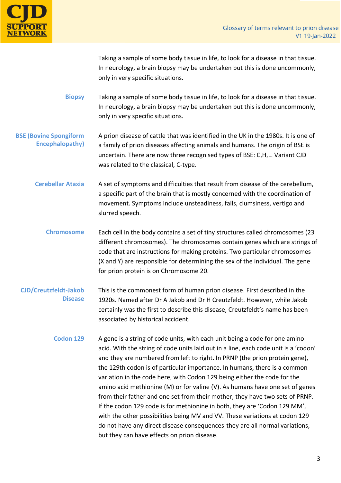

Taking a sample of some body tissue in life, to look for a disease in that tissue. In neurology, a brain biopsy may be undertaken but this is done uncommonly, only in very specific situations.

- **Biopsy** Taking a sample of some body tissue in life, to look for a disease in that tissue. In neurology, a brain biopsy may be undertaken but this is done uncommonly, only in very specific situations.
- **BSE (Bovine Spongiform Encephalopathy)** A prion disease of cattle that was identified in the UK in the 1980s. It is one of a family of prion diseases affecting animals and humans. The origin of BSE is uncertain. There are now three recognised types of BSE: C,H,L. Variant CJD was related to the classical, C-type.
	- **Cerebellar Ataxia** A set of symptoms and difficulties that result from disease of the cerebellum, a specific part of the brain that is mostly concerned with the coordination of movement. Symptoms include unsteadiness, falls, clumsiness, vertigo and slurred speech.
		- **Chromosome** Each cell in the body contains a set of tiny structures called chromosomes (23 different chromosomes). The chromosomes contain genes which are strings of code that are instructions for making proteins. Two particular chromosomes (X and Y) are responsible for determining the sex of the individual. The gene for prion protein is on Chromosome 20.
	- **CJD/Creutzfeldt-Jakob Disease** This is the commonest form of human prion disease. First described in the 1920s. Named after Dr A Jakob and Dr H Creutzfeldt. However, while Jakob certainly was the first to describe this disease, Creutzfeldt's name has been associated by historical accident.
		- **Codon 129** A gene is a string of code units, with each unit being a code for one amino acid. With the string of code units laid out in a line, each code unit is a 'codon' and they are numbered from left to right. In PRNP (the prion protein gene), the 129th codon is of particular importance. In humans, there is a common variation in the code here, with Codon 129 being either the code for the amino acid methionine (M) or for valine (V). As humans have one set of genes from their father and one set from their mother, they have two sets of PRNP. If the codon 129 code is for methionine in both, they are 'Codon 129 MM', with the other possibilities being MV and VV. These variations at codon 129 do not have any direct disease consequences-they are all normal variations, but they can have effects on prion disease.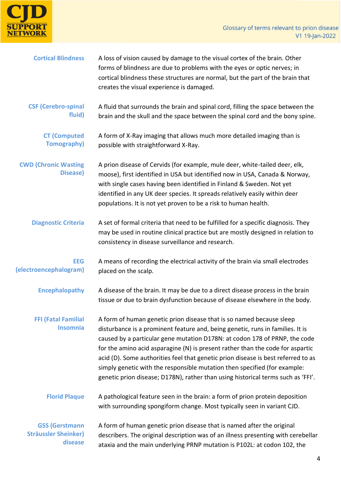

| <b>Cortical Blindness</b>                                       | A loss of vision caused by damage to the visual cortex of the brain. Other<br>forms of blindness are due to problems with the eyes or optic nerves; in<br>cortical blindness these structures are normal, but the part of the brain that<br>creates the visual experience is damaged.                                                                                                                                                                                                                                                                                        |
|-----------------------------------------------------------------|------------------------------------------------------------------------------------------------------------------------------------------------------------------------------------------------------------------------------------------------------------------------------------------------------------------------------------------------------------------------------------------------------------------------------------------------------------------------------------------------------------------------------------------------------------------------------|
| <b>CSF (Cerebro-spinal</b><br>fluid)                            | A fluid that surrounds the brain and spinal cord, filling the space between the<br>brain and the skull and the space between the spinal cord and the bony spine.                                                                                                                                                                                                                                                                                                                                                                                                             |
| <b>CT (Computed</b><br><b>Tomography)</b>                       | A form of X-Ray imaging that allows much more detailed imaging than is<br>possible with straightforward X-Ray.                                                                                                                                                                                                                                                                                                                                                                                                                                                               |
| <b>CWD (Chronic Wasting</b><br>Disease)                         | A prion disease of Cervids (for example, mule deer, white-tailed deer, elk,<br>moose), first identified in USA but identified now in USA, Canada & Norway,<br>with single cases having been identified in Finland & Sweden. Not yet<br>identified in any UK deer species. It spreads relatively easily within deer<br>populations. It is not yet proven to be a risk to human health.                                                                                                                                                                                        |
| <b>Diagnostic Criteria</b>                                      | A set of formal criteria that need to be fulfilled for a specific diagnosis. They<br>may be used in routine clinical practice but are mostly designed in relation to<br>consistency in disease surveillance and research.                                                                                                                                                                                                                                                                                                                                                    |
| <b>EEG</b><br>(electroencephalogram)                            | A means of recording the electrical activity of the brain via small electrodes<br>placed on the scalp.                                                                                                                                                                                                                                                                                                                                                                                                                                                                       |
| <b>Encephalopathy</b>                                           | A disease of the brain. It may be due to a direct disease process in the brain<br>tissue or due to brain dysfunction because of disease elsewhere in the body.                                                                                                                                                                                                                                                                                                                                                                                                               |
| <b>FFI (Fatal Familial</b><br><b>Insomnia</b>                   | A form of human genetic prion disease that is so named because sleep<br>disturbance is a prominent feature and, being genetic, runs in families. It is<br>caused by a particular gene mutation D178N: at codon 178 of PRNP, the code<br>for the amino acid asparagine (N) is present rather than the code for aspartic<br>acid (D). Some authorities feel that genetic prion disease is best referred to as<br>simply genetic with the responsible mutation then specified (for example:<br>genetic prion disease; D178N), rather than using historical terms such as 'FFI'. |
| <b>Florid Plaque</b>                                            | A pathological feature seen in the brain: a form of prion protein deposition<br>with surrounding spongiform change. Most typically seen in variant CJD.                                                                                                                                                                                                                                                                                                                                                                                                                      |
| <b>GSS (Gerstmann</b><br><b>Sträussler Sheinker)</b><br>disease | A form of human genetic prion disease that is named after the original<br>describers. The original description was of an illness presenting with cerebellar<br>ataxia and the main underlying PRNP mutation is P102L: at codon 102, the                                                                                                                                                                                                                                                                                                                                      |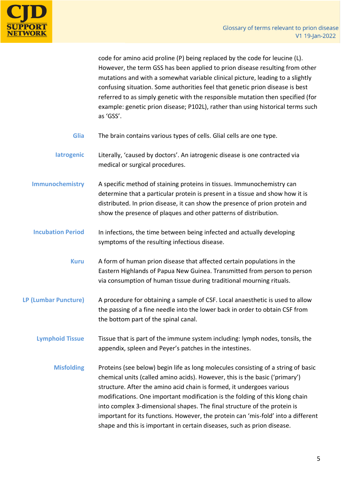

code for amino acid proline (P) being replaced by the code for leucine (L). However, the term GSS has been applied to prion disease resulting from other mutations and with a somewhat variable clinical picture, leading to a slightly confusing situation. Some authorities feel that genetic prion disease is best referred to as simply genetic with the responsible mutation then specified (for example: genetic prion disease; P102L), rather than using historical terms such as 'GSS'.

- **Glia** The brain contains various types of cells. Glial cells are one type.
- **Iatrogenic** Literally, 'caused by doctors'. An iatrogenic disease is one contracted via medical or surgical procedures.
- **Immunochemistry** A specific method of staining proteins in tissues. Immunochemistry can determine that a particular protein is present in a tissue and show how it is distributed. In prion disease, it can show the presence of prion protein and show the presence of plaques and other patterns of distribution.
- **Incubation Period** In infections, the time between being infected and actually developing symptoms of the resulting infectious disease.
	- **Kuru** A form of human prion disease that affected certain populations in the Eastern Highlands of Papua New Guinea. Transmitted from person to person via consumption of human tissue during traditional mourning rituals.
- **LP (Lumbar Puncture)** A procedure for obtaining a sample of CSF. Local anaesthetic is used to allow the passing of a fine needle into the lower back in order to obtain CSF from the bottom part of the spinal canal.
	- **Lymphoid Tissue** Tissue that is part of the immune system including: lymph nodes, tonsils, the appendix, spleen and Peyer's patches in the intestines.
		- **Misfolding** Proteins (see below) begin life as long molecules consisting of a string of basic chemical units (called amino acids). However, this is the basic ('primary') structure. After the amino acid chain is formed, it undergoes various modifications. One important modification is the folding of this klong chain into complex 3-dimensional shapes. The final structure of the protein is important for its functions. However, the protein can 'mis-fold' into a different shape and this is important in certain diseases, such as prion disease.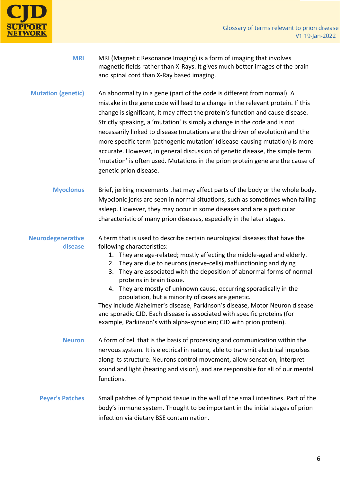

| <b>MRI</b>                          | MRI (Magnetic Resonance Imaging) is a form of imaging that involves<br>magnetic fields rather than X-Rays. It gives much better images of the brain<br>and spinal cord than X-Ray based imaging.                                                                                                                                                                                                                                                                                                                                                                                                                                                                                                                            |
|-------------------------------------|-----------------------------------------------------------------------------------------------------------------------------------------------------------------------------------------------------------------------------------------------------------------------------------------------------------------------------------------------------------------------------------------------------------------------------------------------------------------------------------------------------------------------------------------------------------------------------------------------------------------------------------------------------------------------------------------------------------------------------|
| <b>Mutation (genetic)</b>           | An abnormality in a gene (part of the code is different from normal). A<br>mistake in the gene code will lead to a change in the relevant protein. If this<br>change is significant, it may affect the protein's function and cause disease.<br>Strictly speaking, a 'mutation' is simply a change in the code and is not<br>necessarily linked to disease (mutations are the driver of evolution) and the<br>more specific term 'pathogenic mutation' (disease-causing mutation) is more<br>accurate. However, in general discussion of genetic disease, the simple term<br>'mutation' is often used. Mutations in the prion protein gene are the cause of<br>genetic prion disease.                                       |
| <b>Myoclonus</b>                    | Brief, jerking movements that may affect parts of the body or the whole body.<br>Myoclonic jerks are seen in normal situations, such as sometimes when falling<br>asleep. However, they may occur in some diseases and are a particular<br>characteristic of many prion diseases, especially in the later stages.                                                                                                                                                                                                                                                                                                                                                                                                           |
| <b>Neurodegenerative</b><br>disease | A term that is used to describe certain neurological diseases that have the<br>following characteristics:<br>1. They are age-related; mostly affecting the middle-aged and elderly.<br>2. They are due to neurons (nerve-cells) malfunctioning and dying<br>3. They are associated with the deposition of abnormal forms of normal<br>proteins in brain tissue.<br>4. They are mostly of unknown cause, occurring sporadically in the<br>population, but a minority of cases are genetic.<br>They include Alzheimer's disease, Parkinson's disease, Motor Neuron disease<br>and sporadic CJD. Each disease is associated with specific proteins (for<br>example, Parkinson's with alpha-synuclein; CJD with prion protein). |
| <b>Neuron</b>                       | A form of cell that is the basis of processing and communication within the<br>nervous system. It is electrical in nature, able to transmit electrical impulses<br>along its structure. Neurons control movement, allow sensation, interpret<br>sound and light (hearing and vision), and are responsible for all of our mental<br>functions.                                                                                                                                                                                                                                                                                                                                                                               |
| <b>Peyer's Patches</b>              | Small patches of lymphoid tissue in the wall of the small intestines. Part of the<br>body's immune system. Thought to be important in the initial stages of prion<br>infection via dietary BSE contamination.                                                                                                                                                                                                                                                                                                                                                                                                                                                                                                               |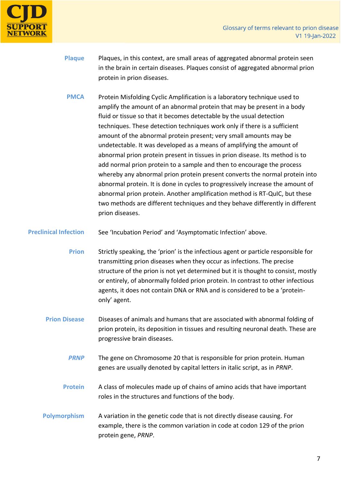

- **Plaque** Plaques, in this context, are small areas of aggregated abnormal protein seen in the brain in certain diseases. Plaques consist of aggregated abnormal prion protein in prion diseases.
- **PMCA** Protein Misfolding Cyclic Amplification is a laboratory technique used to amplify the amount of an abnormal protein that may be present in a body fluid or tissue so that it becomes detectable by the usual detection techniques. These detection techniques work only if there is a sufficient amount of the abnormal protein present; very small amounts may be undetectable. It was developed as a means of amplifying the amount of abnormal prion protein present in tissues in prion disease. Its method is to add normal prion protein to a sample and then to encourage the process whereby any abnormal prion protein present converts the normal protein into abnormal protein. It is done in cycles to progressively increase the amount of abnormal prion protein. Another amplification method is RT-QuIC, but these two methods are different techniques and they behave differently in different prion diseases.
- **Preclinical Infection** See 'Incubation Period' and 'Asymptomatic Infection' above.
	- **Prion** Strictly speaking, the 'prion' is the infectious agent or particle responsible for transmitting prion diseases when they occur as infections. The precise structure of the prion is not yet determined but it is thought to consist, mostly or entirely, of abnormally folded prion protein. In contrast to other infectious agents, it does not contain DNA or RNA and is considered to be a 'proteinonly' agent.
	- **Prion Disease** Diseases of animals and humans that are associated with abnormal folding of prion protein, its deposition in tissues and resulting neuronal death. These are progressive brain diseases.
		- **PRNP** The gene on Chromosome 20 that is responsible for prion protein. Human genes are usually denoted by capital letters in italic script, as in *PRNP*.
		- **Protein** A class of molecules made up of chains of amino acids that have important roles in the structures and functions of the body.
	- **Polymorphism** A variation in the genetic code that is not directly disease causing. For example, there is the common variation in code at codon 129 of the prion protein gene, *PRNP*.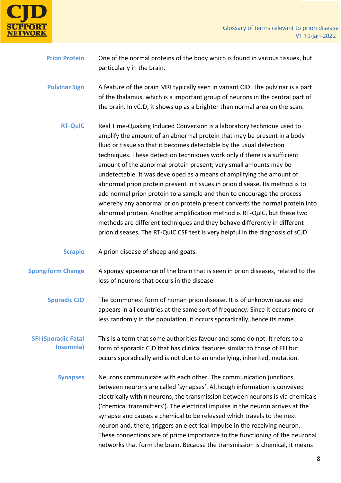

| <b>Prion Protein</b> | One of the normal proteins of the body which is found in various tissues, but |
|----------------------|-------------------------------------------------------------------------------|
|                      | particularly in the brain.                                                    |

**Pulvinar Sign** A feature of the brain MRI typically seen in variant CJD. The pulvinar is a part of the thalamus, which is a important group of neurons in the central part of the brain. In vCJD, it shows up as a brighter than normal area on the scan.

- **RT-QuIC** Real Time-Quaking Induced Conversion is a laboratory technique used to amplify the amount of an abnormal protein that may be present in a body fluid or tissue so that it becomes detectable by the usual detection techniques. These detection techniques work only if there is a sufficient amount of the abnormal protein present; very small amounts may be undetectable. It was developed as a means of amplifying the amount of abnormal prion protein present in tissues in prion disease. Its method is to add normal prion protein to a sample and then to encourage the process whereby any abnormal prion protein present converts the normal protein into abnormal protein. Another amplification method is RT-QuIC, but these two methods are different techniques and they behave differently in different prion diseases. The RT-QuIC CSF test is very helpful in the diagnosis of sCJD.
- **Scrapie** A prion disease of sheep and goats.
- **Spongiform Change** A spongy appearance of the brain that is seen in prion diseases, related to the loss of neurons that occurs in the disease.
	- **Sporadic CJD** The commonest form of human prion disease. It is of unknown cause and appears in all countries at the same sort of frequency. Since it occurs more or less randomly in the population, it occurs sporadically, hence its name.
- **SFI (Sporadic Fatal Insomnia)** This is a term that some authorities favour and some do not. It refers to a form of sporadic CJD that has clinical features similar to those of FFI but occurs sporadically and is not due to an underlying, inherited, mutation.
	- **Synapses** Neurons communicate with each other. The communication junctions between neurons are called 'synapses'. Although information is conveyed electrically within neurons, the transmission between neurons is via chemicals ('chemical transmitters'). The electrical impulse in the neuron arrives at the synapse and causes a chemical to be released which travels to the next neuron and, there, triggers an electrical impulse in the receiving neuron. These connections are of prime importance to the functioning of the neuronal networks that form the brain. Because the transmission is chemical, it means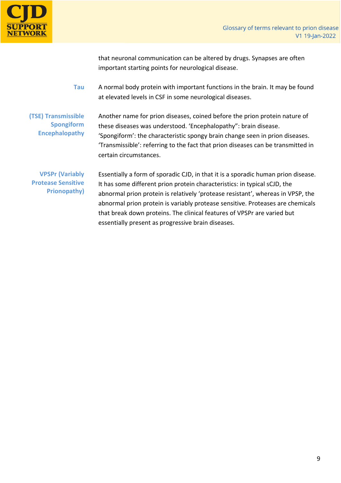

that neuronal communication can be altered by drugs. Synapses are often important starting points for neurological disease.

**Tau** A normal body protein with important functions in the brain. It may be found at elevated levels in CSF in some neurological diseases.

**(TSE) Transmissible Spongiform Encephalopathy** Another name for prion diseases, coined before the prion protein nature of these diseases was understood. 'Encephalopathy": brain disease. 'Spongiform': the characteristic spongy brain change seen in prion diseases. 'Transmissible': referring to the fact that prion diseases can be transmitted in certain circumstances.

**VPSPr (Variably Protease Sensitive Prionopathy)**

Essentially a form of sporadic CJD, in that it is a sporadic human prion disease. It has some different prion protein characteristics: in typical sCJD, the abnormal prion protein is relatively 'protease resistant', whereas in VPSP, the abnormal prion protein is variably protease sensitive. Proteases are chemicals that break down proteins. The clinical features of VPSPr are varied but essentially present as progressive brain diseases.